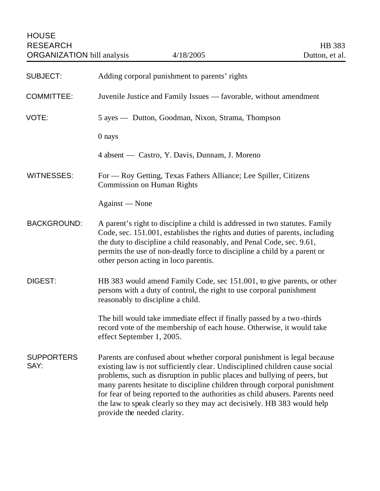HOUSE RESEARCH HB 383<br>ORGANIZATION bill analysis 4/18/2005 4/18 analysis Dutton, et al. ORGANIZATION bill analysis 4/18/2005 Dutton, et al.

| <b>SUBJECT:</b>           | Adding corporal punishment to parents' rights                                                                                                                                                                                                                                                                                                                                                                                                                                                           |
|---------------------------|---------------------------------------------------------------------------------------------------------------------------------------------------------------------------------------------------------------------------------------------------------------------------------------------------------------------------------------------------------------------------------------------------------------------------------------------------------------------------------------------------------|
| <b>COMMITTEE:</b>         | Juvenile Justice and Family Issues — favorable, without amendment                                                                                                                                                                                                                                                                                                                                                                                                                                       |
| VOTE:                     | 5 ayes — Dutton, Goodman, Nixon, Strama, Thompson                                                                                                                                                                                                                                                                                                                                                                                                                                                       |
|                           | 0 nays                                                                                                                                                                                                                                                                                                                                                                                                                                                                                                  |
|                           | 4 absent — Castro, Y. Davis, Dunnam, J. Moreno                                                                                                                                                                                                                                                                                                                                                                                                                                                          |
| <b>WITNESSES:</b>         | For — Roy Getting, Texas Fathers Alliance; Lee Spiller, Citizens<br><b>Commission on Human Rights</b>                                                                                                                                                                                                                                                                                                                                                                                                   |
|                           | Against — None                                                                                                                                                                                                                                                                                                                                                                                                                                                                                          |
| <b>BACKGROUND:</b>        | A parent's right to discipline a child is addressed in two statutes. Family<br>Code, sec. 151.001, establishes the rights and duties of parents, including<br>the duty to discipline a child reasonably, and Penal Code, sec. 9.61,<br>permits the use of non-deadly force to discipline a child by a parent or<br>other person acting in loco parentis.                                                                                                                                                |
| DIGEST:                   | HB 383 would amend Family Code, sec 151.001, to give parents, or other<br>persons with a duty of control, the right to use corporal punishment<br>reasonably to discipline a child.                                                                                                                                                                                                                                                                                                                     |
|                           | The bill would take immediate effect if finally passed by a two-thirds<br>record vote of the membership of each house. Otherwise, it would take<br>effect September 1, 2005.                                                                                                                                                                                                                                                                                                                            |
| <b>SUPPORTERS</b><br>SAY: | Parents are confused about whether corporal punishment is legal because<br>existing law is not sufficiently clear. Undisciplined children cause social<br>problems, such as disruption in public places and bullying of peers, but<br>many parents hesitate to discipline children through corporal punishment<br>for fear of being reported to the authorities as child abusers. Parents need<br>the law to speak clearly so they may act decisively. HB 383 would help<br>provide the needed clarity. |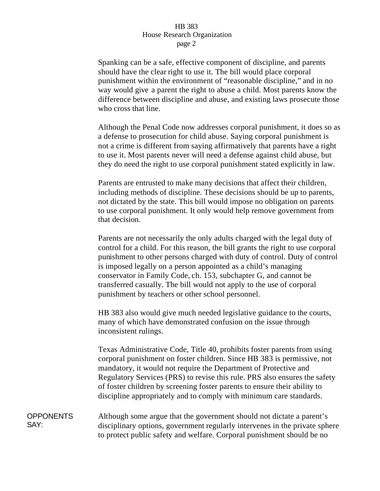## HB 383 House Research Organization page 2

Spanking can be a safe, effective component of discipline, and parents should have the clear right to use it. The bill would place corporal punishment within the environment of "reasonable discipline," and in no way would give a parent the right to abuse a child. Most parents know the difference between discipline and abuse, and existing laws prosecute those who cross that line.

Although the Penal Code now addresses corporal punishment, it does so as a defense to prosecution for child abuse. Saying corporal punishment is not a crime is different from saying affirmatively that parents have a right to use it. Most parents never will need a defense against child abuse, but they do need the right to use corporal punishment stated explicitly in law.

Parents are entrusted to make many decisions that affect their children, including methods of discipline. These decisions should be up to parents, not dictated by the state. This bill would impose no obligation on parents to use corporal punishment. It only would help remove government from that decision.

Parents are not necessarily the only adults charged with the legal duty of control for a child. For this reason, the bill grants the right to use corporal punishment to other persons charged with duty of control. Duty of control is imposed legally on a person appointed as a child's managing conservator in Family Code, ch. 153, subchapter G, and cannot be transferred casually. The bill would not apply to the use of corporal punishment by teachers or other school personnel.

HB 383 also would give much needed legislative guidance to the courts, many of which have demonstrated confusion on the issue through inconsistent rulings.

Texas Administrative Code, Title 40, prohibits foster parents from using corporal punishment on foster children. Since HB 383 is permissive, not mandatory, it would not require the Department of Protective and Regulatory Services (PRS) to revise this rule. PRS also ensures the safety of foster children by screening foster parents to ensure their ability to discipline appropriately and to comply with minimum care standards.

**OPPONENTS** SAY: Although some argue that the government should not dictate a parent's disciplinary options, government regularly intervenes in the private sphere to protect public safety and welfare. Corporal punishment should be no